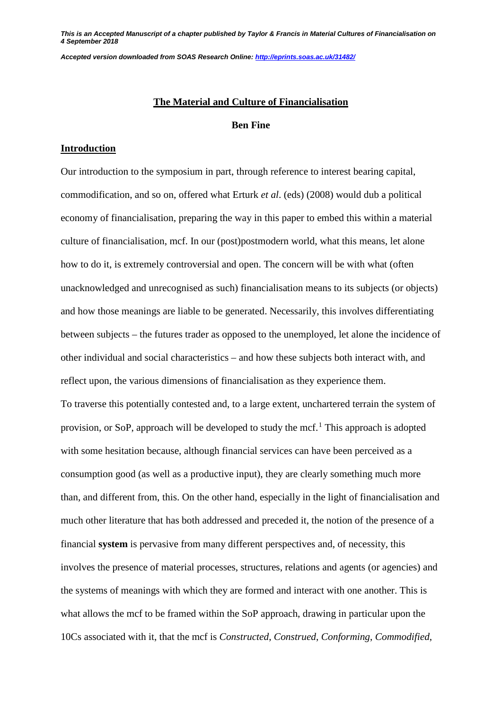*This is an Accepted Manuscript of a chapter published by Taylor & Francis in Material Cultures of Financialisation on 4 September 2018*

*Accepted version downloaded from SOAS Research Online[: http://eprints.soas.ac.uk/31482/](http://eprints.soas.ac.uk/31482/)*

### **The Material and Culture of Financialisation**

### **Ben Fine**

### **Introduction**

Our introduction to the symposium in part, through reference to interest bearing capital, commodification, and so on, offered what Erturk *et al*. (eds) (2008) would dub a political economy of financialisation, preparing the way in this paper to embed this within a material culture of financialisation, mcf. In our (post)postmodern world, what this means, let alone how to do it, is extremely controversial and open. The concern will be with what (often unacknowledged and unrecognised as such) financialisation means to its subjects (or objects) and how those meanings are liable to be generated. Necessarily, this involves differentiating between subjects – the futures trader as opposed to the unemployed, let alone the incidence of other individual and social characteristics – and how these subjects both interact with, and reflect upon, the various dimensions of financialisation as they experience them. To traverse this potentially contested and, to a large extent, unchartered terrain the system of provision, or SoP, approach will be developed to study the mcf.<sup>[1](#page-19-0)</sup> This approach is adopted with some hesitation because, although financial services can have been perceived as a consumption good (as well as a productive input), they are clearly something much more than, and different from, this. On the other hand, especially in the light of financialisation and much other literature that has both addressed and preceded it, the notion of the presence of a financial **system** is pervasive from many different perspectives and, of necessity, this involves the presence of material processes, structures, relations and agents (or agencies) and the systems of meanings with which they are formed and interact with one another. This is what allows the mcf to be framed within the SoP approach, drawing in particular upon the 10Cs associated with it, that the mcf is *Constructed*, *Construed*, *Conforming*, *Commodified*,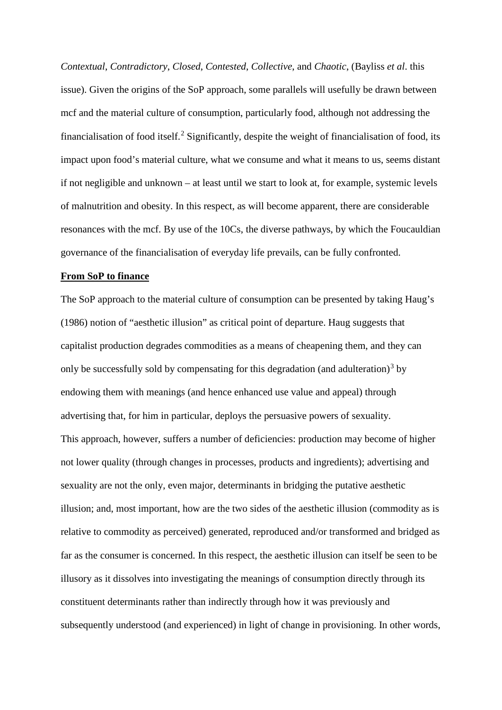*Contextual*, *Contradictory*, *Closed*, *Contested*, *Collective*, and *Chaotic*, (Bayliss *et al*. this issue). Given the origins of the SoP approach, some parallels will usefully be drawn between mcf and the material culture of consumption, particularly food, although not addressing the financialisation of food itself.<sup>[2](#page-19-1)</sup> Significantly, despite the weight of financialisation of food, its impact upon food's material culture, what we consume and what it means to us, seems distant if not negligible and unknown – at least until we start to look at, for example, systemic levels of malnutrition and obesity. In this respect, as will become apparent, there are considerable resonances with the mcf. By use of the 10Cs, the diverse pathways, by which the Foucauldian governance of the financialisation of everyday life prevails, can be fully confronted.

### **From SoP to finance**

The SoP approach to the material culture of consumption can be presented by taking Haug's (1986) notion of "aesthetic illusion" as critical point of departure. Haug suggests that capitalist production degrades commodities as a means of cheapening them, and they can only be successfully sold by compensating for this degradation (and adulteration)<sup>[3](#page-19-2)</sup> by endowing them with meanings (and hence enhanced use value and appeal) through advertising that, for him in particular, deploys the persuasive powers of sexuality. This approach, however, suffers a number of deficiencies: production may become of higher not lower quality (through changes in processes, products and ingredients); advertising and sexuality are not the only, even major, determinants in bridging the putative aesthetic illusion; and, most important, how are the two sides of the aesthetic illusion (commodity as is relative to commodity as perceived) generated, reproduced and/or transformed and bridged as far as the consumer is concerned. In this respect, the aesthetic illusion can itself be seen to be illusory as it dissolves into investigating the meanings of consumption directly through its constituent determinants rather than indirectly through how it was previously and subsequently understood (and experienced) in light of change in provisioning. In other words,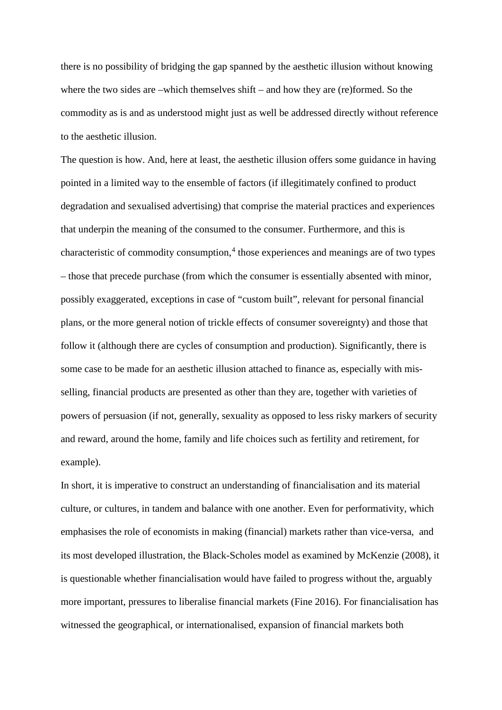there is no possibility of bridging the gap spanned by the aesthetic illusion without knowing where the two sides are –which themselves shift – and how they are (re)formed. So the commodity as is and as understood might just as well be addressed directly without reference to the aesthetic illusion.

The question is how. And, here at least, the aesthetic illusion offers some guidance in having pointed in a limited way to the ensemble of factors (if illegitimately confined to product degradation and sexualised advertising) that comprise the material practices and experiences that underpin the meaning of the consumed to the consumer. Furthermore, and this is characteristic of commodity consumption, $4$  those experiences and meanings are of two types – those that precede purchase (from which the consumer is essentially absented with minor, possibly exaggerated, exceptions in case of "custom built", relevant for personal financial plans, or the more general notion of trickle effects of consumer sovereignty) and those that follow it (although there are cycles of consumption and production). Significantly, there is some case to be made for an aesthetic illusion attached to finance as, especially with misselling, financial products are presented as other than they are, together with varieties of powers of persuasion (if not, generally, sexuality as opposed to less risky markers of security and reward, around the home, family and life choices such as fertility and retirement, for example).

In short, it is imperative to construct an understanding of financialisation and its material culture, or cultures, in tandem and balance with one another. Even for performativity, which emphasises the role of economists in making (financial) markets rather than vice-versa, and its most developed illustration, the Black-Scholes model as examined by McKenzie (2008), it is questionable whether financialisation would have failed to progress without the, arguably more important, pressures to liberalise financial markets (Fine 2016). For financialisation has witnessed the geographical, or internationalised, expansion of financial markets both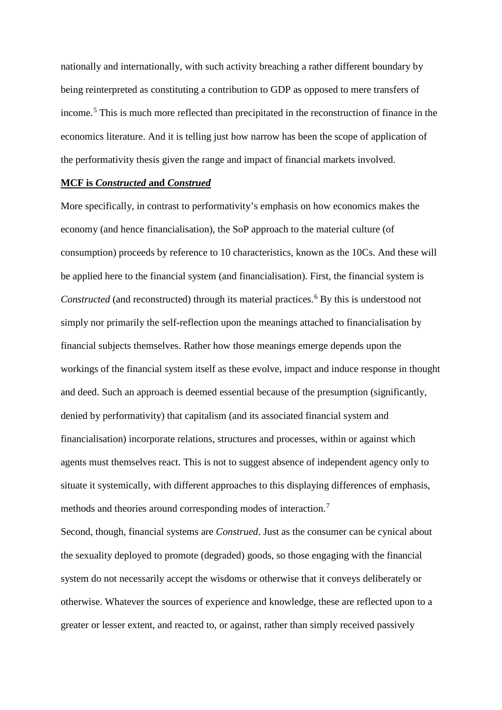nationally and internationally, with such activity breaching a rather different boundary by being reinterpreted as constituting a contribution to GDP as opposed to mere transfers of income.[5](#page-19-4) This is much more reflected than precipitated in the reconstruction of finance in the economics literature. And it is telling just how narrow has been the scope of application of the performativity thesis given the range and impact of financial markets involved.

# **MCF is** *Constructed* **and** *Construed*

More specifically, in contrast to performativity's emphasis on how economics makes the economy (and hence financialisation), the SoP approach to the material culture (of consumption) proceeds by reference to 10 characteristics, known as the 10Cs. And these will be applied here to the financial system (and financialisation). First, the financial system is *Constructed* (and reconstructed) through its material practices.<sup>[6](#page-19-5)</sup> By this is understood not simply nor primarily the self-reflection upon the meanings attached to financialisation by financial subjects themselves. Rather how those meanings emerge depends upon the workings of the financial system itself as these evolve, impact and induce response in thought and deed. Such an approach is deemed essential because of the presumption (significantly, denied by performativity) that capitalism (and its associated financial system and financialisation) incorporate relations, structures and processes, within or against which agents must themselves react. This is not to suggest absence of independent agency only to situate it systemically, with different approaches to this displaying differences of emphasis, methods and theories around corresponding modes of interaction.<sup>[7](#page-19-6)</sup>

Second, though, financial systems are *Construed*. Just as the consumer can be cynical about the sexuality deployed to promote (degraded) goods, so those engaging with the financial system do not necessarily accept the wisdoms or otherwise that it conveys deliberately or otherwise. Whatever the sources of experience and knowledge, these are reflected upon to a greater or lesser extent, and reacted to, or against, rather than simply received passively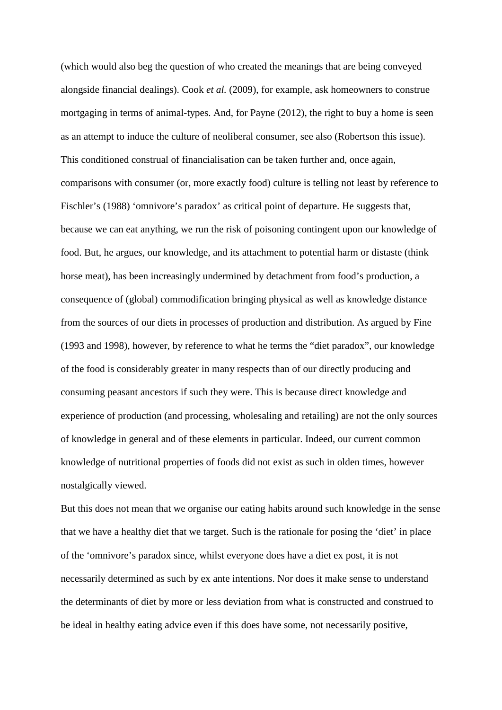(which would also beg the question of who created the meanings that are being conveyed alongside financial dealings). Cook *et al.* (2009), for example, ask homeowners to construe mortgaging in terms of animal-types. And, for Payne (2012), the right to buy a home is seen as an attempt to induce the culture of neoliberal consumer, see also (Robertson this issue). This conditioned construal of financialisation can be taken further and, once again, comparisons with consumer (or, more exactly food) culture is telling not least by reference to Fischler's (1988) 'omnivore's paradox' as critical point of departure. He suggests that, because we can eat anything, we run the risk of poisoning contingent upon our knowledge of food. But, he argues, our knowledge, and its attachment to potential harm or distaste (think horse meat), has been increasingly undermined by detachment from food's production, a consequence of (global) commodification bringing physical as well as knowledge distance from the sources of our diets in processes of production and distribution. As argued by Fine (1993 and 1998), however, by reference to what he terms the "diet paradox", our knowledge of the food is considerably greater in many respects than of our directly producing and consuming peasant ancestors if such they were. This is because direct knowledge and experience of production (and processing, wholesaling and retailing) are not the only sources of knowledge in general and of these elements in particular. Indeed, our current common knowledge of nutritional properties of foods did not exist as such in olden times, however nostalgically viewed.

But this does not mean that we organise our eating habits around such knowledge in the sense that we have a healthy diet that we target. Such is the rationale for posing the 'diet' in place of the 'omnivore's paradox since, whilst everyone does have a diet ex post, it is not necessarily determined as such by ex ante intentions. Nor does it make sense to understand the determinants of diet by more or less deviation from what is constructed and construed to be ideal in healthy eating advice even if this does have some, not necessarily positive,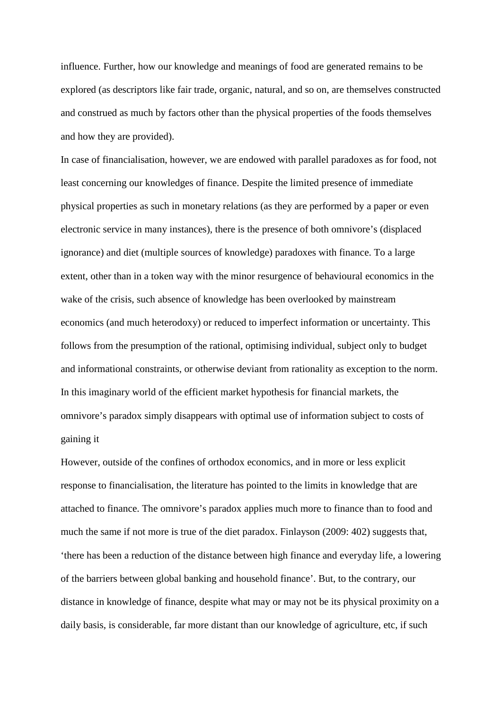influence. Further, how our knowledge and meanings of food are generated remains to be explored (as descriptors like fair trade, organic, natural, and so on, are themselves constructed and construed as much by factors other than the physical properties of the foods themselves and how they are provided).

In case of financialisation, however, we are endowed with parallel paradoxes as for food, not least concerning our knowledges of finance. Despite the limited presence of immediate physical properties as such in monetary relations (as they are performed by a paper or even electronic service in many instances), there is the presence of both omnivore's (displaced ignorance) and diet (multiple sources of knowledge) paradoxes with finance. To a large extent, other than in a token way with the minor resurgence of behavioural economics in the wake of the crisis, such absence of knowledge has been overlooked by mainstream economics (and much heterodoxy) or reduced to imperfect information or uncertainty. This follows from the presumption of the rational, optimising individual, subject only to budget and informational constraints, or otherwise deviant from rationality as exception to the norm. In this imaginary world of the efficient market hypothesis for financial markets, the omnivore's paradox simply disappears with optimal use of information subject to costs of gaining it

However, outside of the confines of orthodox economics, and in more or less explicit response to financialisation, the literature has pointed to the limits in knowledge that are attached to finance. The omnivore's paradox applies much more to finance than to food and much the same if not more is true of the diet paradox. Finlayson (2009: 402) suggests that, 'there has been a reduction of the distance between high finance and everyday life, a lowering of the barriers between global banking and household finance'. But, to the contrary, our distance in knowledge of finance, despite what may or may not be its physical proximity on a daily basis, is considerable, far more distant than our knowledge of agriculture, etc, if such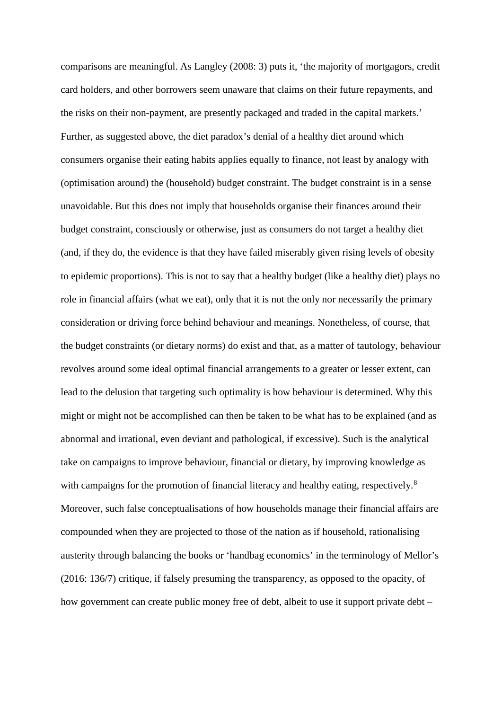comparisons are meaningful. As Langley (2008: 3) puts it, 'the majority of mortgagors, credit card holders, and other borrowers seem unaware that claims on their future repayments, and the risks on their non-payment, are presently packaged and traded in the capital markets.' Further, as suggested above, the diet paradox's denial of a healthy diet around which consumers organise their eating habits applies equally to finance, not least by analogy with (optimisation around) the (household) budget constraint. The budget constraint is in a sense unavoidable. But this does not imply that households organise their finances around their budget constraint, consciously or otherwise, just as consumers do not target a healthy diet (and, if they do, the evidence is that they have failed miserably given rising levels of obesity to epidemic proportions). This is not to say that a healthy budget (like a healthy diet) plays no role in financial affairs (what we eat), only that it is not the only nor necessarily the primary consideration or driving force behind behaviour and meanings. Nonetheless, of course, that the budget constraints (or dietary norms) do exist and that, as a matter of tautology, behaviour revolves around some ideal optimal financial arrangements to a greater or lesser extent, can lead to the delusion that targeting such optimality is how behaviour is determined. Why this might or might not be accomplished can then be taken to be what has to be explained (and as abnormal and irrational, even deviant and pathological, if excessive). Such is the analytical take on campaigns to improve behaviour, financial or dietary, by improving knowledge as with campaigns for the promotion of financial literacy and healthy eating, respectively.<sup>[8](#page-19-7)</sup> Moreover, such false conceptualisations of how households manage their financial affairs are compounded when they are projected to those of the nation as if household, rationalising austerity through balancing the books or 'handbag economics' in the terminology of Mellor's (2016: 136/7) critique, if falsely presuming the transparency, as opposed to the opacity, of how government can create public money free of debt, albeit to use it support private debt –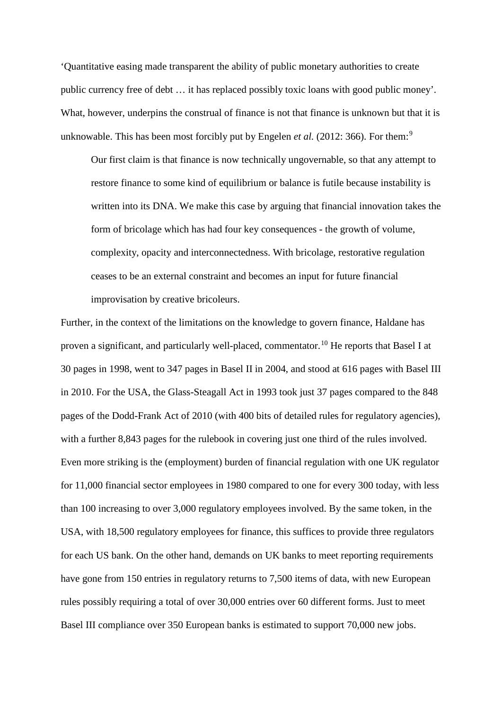'Quantitative easing made transparent the ability of public monetary authorities to create public currency free of debt … it has replaced possibly toxic loans with good public money'. What, however, underpins the construal of finance is not that finance is unknown but that it is unknowable. This has been most forcibly put by Engelen *et al.* (2012: 366). For them:<sup>[9](#page-19-8)</sup>

Our first claim is that finance is now technically ungovernable, so that any attempt to restore finance to some kind of equilibrium or balance is futile because instability is written into its DNA. We make this case by arguing that financial innovation takes the form of bricolage which has had four key consequences - the growth of volume, complexity, opacity and interconnectedness. With bricolage, restorative regulation ceases to be an external constraint and becomes an input for future financial improvisation by creative bricoleurs.

Further, in the context of the limitations on the knowledge to govern finance, Haldane has proven a significant, and particularly well-placed, commentator.<sup>[10](#page-20-0)</sup> He reports that Basel I at 30 pages in 1998, went to 347 pages in Basel II in 2004, and stood at 616 pages with Basel III in 2010. For the USA, the Glass-Steagall Act in 1993 took just 37 pages compared to the 848 pages of the Dodd-Frank Act of 2010 (with 400 bits of detailed rules for regulatory agencies), with a further 8,843 pages for the rulebook in covering just one third of the rules involved. Even more striking is the (employment) burden of financial regulation with one UK regulator for 11,000 financial sector employees in 1980 compared to one for every 300 today, with less than 100 increasing to over 3,000 regulatory employees involved. By the same token, in the USA, with 18,500 regulatory employees for finance, this suffices to provide three regulators for each US bank. On the other hand, demands on UK banks to meet reporting requirements have gone from 150 entries in regulatory returns to 7,500 items of data, with new European rules possibly requiring a total of over 30,000 entries over 60 different forms. Just to meet Basel III compliance over 350 European banks is estimated to support 70,000 new jobs.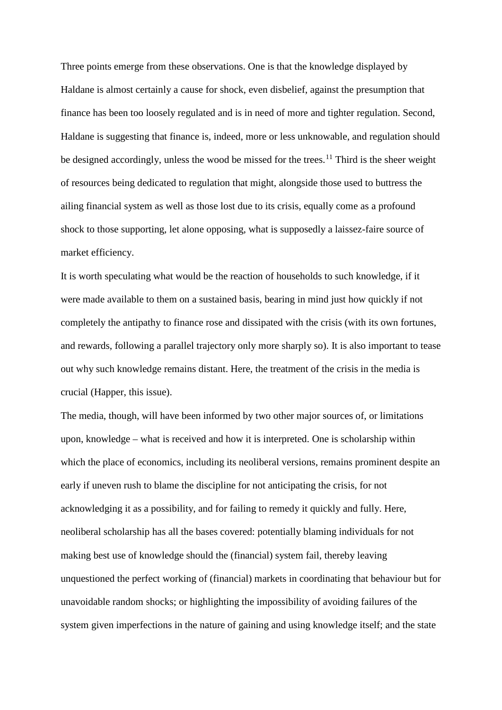Three points emerge from these observations. One is that the knowledge displayed by Haldane is almost certainly a cause for shock, even disbelief, against the presumption that finance has been too loosely regulated and is in need of more and tighter regulation. Second, Haldane is suggesting that finance is, indeed, more or less unknowable, and regulation should be designed accordingly, unless the wood be missed for the trees.<sup>[11](#page-20-1)</sup> Third is the sheer weight of resources being dedicated to regulation that might, alongside those used to buttress the ailing financial system as well as those lost due to its crisis, equally come as a profound shock to those supporting, let alone opposing, what is supposedly a laissez-faire source of market efficiency.

It is worth speculating what would be the reaction of households to such knowledge, if it were made available to them on a sustained basis, bearing in mind just how quickly if not completely the antipathy to finance rose and dissipated with the crisis (with its own fortunes, and rewards, following a parallel trajectory only more sharply so). It is also important to tease out why such knowledge remains distant. Here, the treatment of the crisis in the media is crucial (Happer, this issue).

The media, though, will have been informed by two other major sources of, or limitations upon, knowledge – what is received and how it is interpreted. One is scholarship within which the place of economics, including its neoliberal versions, remains prominent despite an early if uneven rush to blame the discipline for not anticipating the crisis, for not acknowledging it as a possibility, and for failing to remedy it quickly and fully. Here, neoliberal scholarship has all the bases covered: potentially blaming individuals for not making best use of knowledge should the (financial) system fail, thereby leaving unquestioned the perfect working of (financial) markets in coordinating that behaviour but for unavoidable random shocks; or highlighting the impossibility of avoiding failures of the system given imperfections in the nature of gaining and using knowledge itself; and the state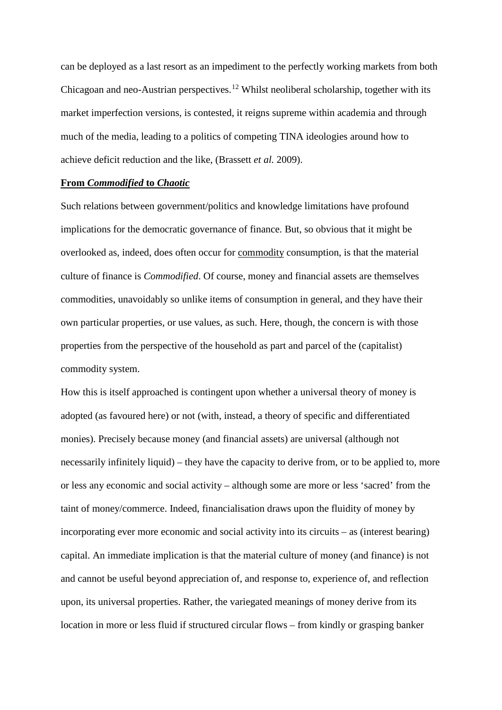can be deployed as a last resort as an impediment to the perfectly working markets from both Chicagoan and neo-Austrian perspectives.<sup>[12](#page-20-2)</sup> Whilst neoliberal scholarship, together with its market imperfection versions, is contested, it reigns supreme within academia and through much of the media, leading to a politics of competing TINA ideologies around how to achieve deficit reduction and the like, (Brassett *et al.* 2009).

# **From** *Commodified* **to** *Chaotic*

Such relations between government/politics and knowledge limitations have profound implications for the democratic governance of finance. But, so obvious that it might be overlooked as, indeed, does often occur for commodity consumption, is that the material culture of finance is *Commodified*. Of course, money and financial assets are themselves commodities, unavoidably so unlike items of consumption in general, and they have their own particular properties, or use values, as such. Here, though, the concern is with those properties from the perspective of the household as part and parcel of the (capitalist) commodity system.

How this is itself approached is contingent upon whether a universal theory of money is adopted (as favoured here) or not (with, instead, a theory of specific and differentiated monies). Precisely because money (and financial assets) are universal (although not necessarily infinitely liquid) – they have the capacity to derive from, or to be applied to, more or less any economic and social activity – although some are more or less 'sacred' from the taint of money/commerce. Indeed, financialisation draws upon the fluidity of money by incorporating ever more economic and social activity into its circuits – as (interest bearing) capital. An immediate implication is that the material culture of money (and finance) is not and cannot be useful beyond appreciation of, and response to, experience of, and reflection upon, its universal properties. Rather, the variegated meanings of money derive from its location in more or less fluid if structured circular flows – from kindly or grasping banker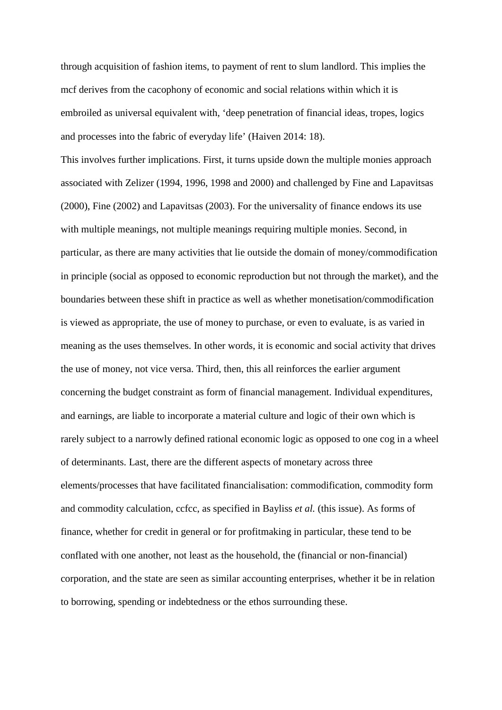through acquisition of fashion items, to payment of rent to slum landlord. This implies the mcf derives from the cacophony of economic and social relations within which it is embroiled as universal equivalent with, 'deep penetration of financial ideas, tropes, logics and processes into the fabric of everyday life' (Haiven 2014: 18).

This involves further implications. First, it turns upside down the multiple monies approach associated with Zelizer (1994, 1996, 1998 and 2000) and challenged by Fine and Lapavitsas (2000), Fine (2002) and Lapavitsas (2003). For the universality of finance endows its use with multiple meanings, not multiple meanings requiring multiple monies. Second, in particular, as there are many activities that lie outside the domain of money/commodification in principle (social as opposed to economic reproduction but not through the market), and the boundaries between these shift in practice as well as whether monetisation/commodification is viewed as appropriate, the use of money to purchase, or even to evaluate, is as varied in meaning as the uses themselves. In other words, it is economic and social activity that drives the use of money, not vice versa. Third, then, this all reinforces the earlier argument concerning the budget constraint as form of financial management. Individual expenditures, and earnings, are liable to incorporate a material culture and logic of their own which is rarely subject to a narrowly defined rational economic logic as opposed to one cog in a wheel of determinants. Last, there are the different aspects of monetary across three elements/processes that have facilitated financialisation: commodification, commodity form and commodity calculation, ccfcc, as specified in Bayliss *et al.* (this issue). As forms of finance, whether for credit in general or for profitmaking in particular, these tend to be conflated with one another, not least as the household, the (financial or non-financial) corporation, and the state are seen as similar accounting enterprises, whether it be in relation to borrowing, spending or indebtedness or the ethos surrounding these.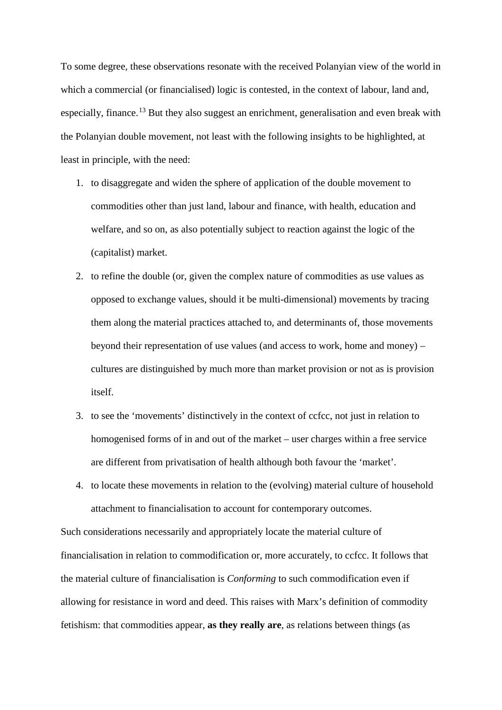To some degree, these observations resonate with the received Polanyian view of the world in which a commercial (or financialised) logic is contested, in the context of labour, land and, especially, finance.<sup>[13](#page-20-3)</sup> But they also suggest an enrichment, generalisation and even break with the Polanyian double movement, not least with the following insights to be highlighted, at least in principle, with the need:

- 1. to disaggregate and widen the sphere of application of the double movement to commodities other than just land, labour and finance, with health, education and welfare, and so on, as also potentially subject to reaction against the logic of the (capitalist) market.
- 2. to refine the double (or, given the complex nature of commodities as use values as opposed to exchange values, should it be multi-dimensional) movements by tracing them along the material practices attached to, and determinants of, those movements beyond their representation of use values (and access to work, home and money) – cultures are distinguished by much more than market provision or not as is provision itself.
- 3. to see the 'movements' distinctively in the context of ccfcc, not just in relation to homogenised forms of in and out of the market – user charges within a free service are different from privatisation of health although both favour the 'market'.
- 4. to locate these movements in relation to the (evolving) material culture of household attachment to financialisation to account for contemporary outcomes.

Such considerations necessarily and appropriately locate the material culture of financialisation in relation to commodification or, more accurately, to ccfcc. It follows that the material culture of financialisation is *Conforming* to such commodification even if allowing for resistance in word and deed. This raises with Marx's definition of commodity fetishism: that commodities appear, **as they really are**, as relations between things (as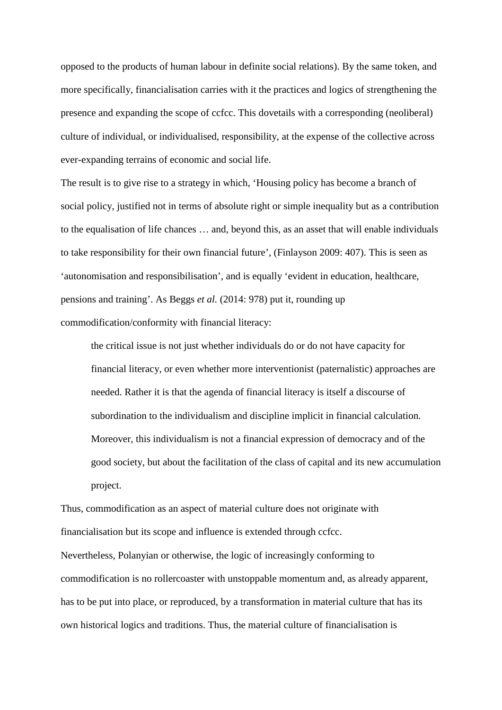opposed to the products of human labour in definite social relations). By the same token, and more specifically, financialisation carries with it the practices and logics of strengthening the presence and expanding the scope of ccfcc. This dovetails with a corresponding (neoliberal) culture of individual, or individualised, responsibility, at the expense of the collective across ever-expanding terrains of economic and social life.

The result is to give rise to a strategy in which, 'Housing policy has become a branch of social policy, justified not in terms of absolute right or simple inequality but as a contribution to the equalisation of life chances … and, beyond this, as an asset that will enable individuals to take responsibility for their own financial future', (Finlayson 2009: 407). This is seen as 'autonomisation and responsibilisation', and is equally 'evident in education, healthcare, pensions and training'. As Beggs *et al.* (2014: 978) put it, rounding up commodification/conformity with financial literacy:

the critical issue is not just whether individuals do or do not have capacity for financial literacy, or even whether more interventionist (paternalistic) approaches are needed. Rather it is that the agenda of financial literacy is itself a discourse of subordination to the individualism and discipline implicit in financial calculation. Moreover, this individualism is not a financial expression of democracy and of the good society, but about the facilitation of the class of capital and its new accumulation project.

Thus, commodification as an aspect of material culture does not originate with financialisation but its scope and influence is extended through ccfcc.

Nevertheless, Polanyian or otherwise, the logic of increasingly conforming to commodification is no rollercoaster with unstoppable momentum and, as already apparent, has to be put into place, or reproduced, by a transformation in material culture that has its own historical logics and traditions. Thus, the material culture of financialisation is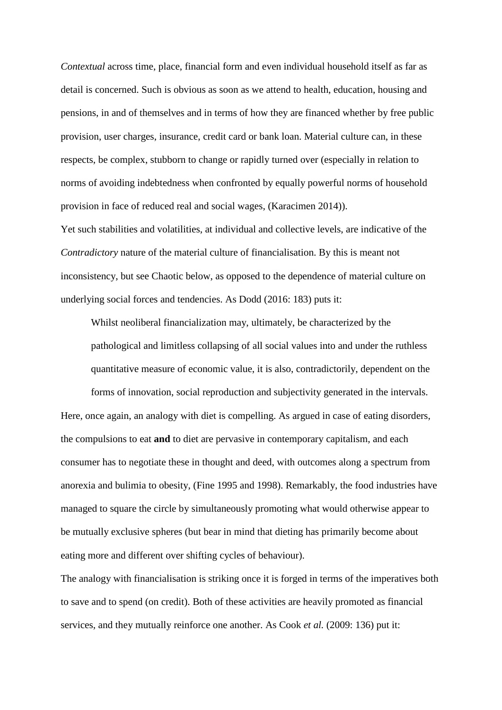*Contextual* across time, place, financial form and even individual household itself as far as detail is concerned. Such is obvious as soon as we attend to health, education, housing and pensions, in and of themselves and in terms of how they are financed whether by free public provision, user charges, insurance, credit card or bank loan. Material culture can, in these respects, be complex, stubborn to change or rapidly turned over (especially in relation to norms of avoiding indebtedness when confronted by equally powerful norms of household provision in face of reduced real and social wages, (Karacimen 2014)).

Yet such stabilities and volatilities, at individual and collective levels, are indicative of the *Contradictory* nature of the material culture of financialisation. By this is meant not inconsistency, but see Chaotic below, as opposed to the dependence of material culture on underlying social forces and tendencies. As Dodd (2016: 183) puts it:

Whilst neoliberal financialization may, ultimately, be characterized by the pathological and limitless collapsing of all social values into and under the ruthless quantitative measure of economic value, it is also, contradictorily, dependent on the

forms of innovation, social reproduction and subjectivity generated in the intervals. Here, once again, an analogy with diet is compelling. As argued in case of eating disorders, the compulsions to eat **and** to diet are pervasive in contemporary capitalism, and each consumer has to negotiate these in thought and deed, with outcomes along a spectrum from anorexia and bulimia to obesity, (Fine 1995 and 1998). Remarkably, the food industries have managed to square the circle by simultaneously promoting what would otherwise appear to be mutually exclusive spheres (but bear in mind that dieting has primarily become about eating more and different over shifting cycles of behaviour).

The analogy with financialisation is striking once it is forged in terms of the imperatives both to save and to spend (on credit). Both of these activities are heavily promoted as financial services, and they mutually reinforce one another. As Cook *et al.* (2009: 136) put it: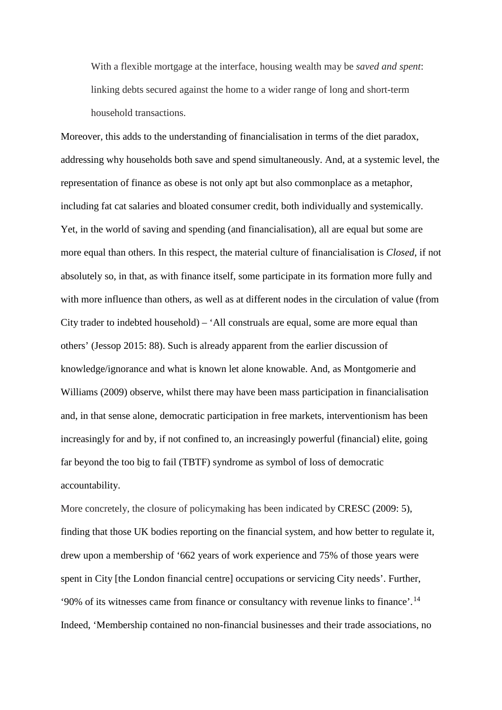With a flexible mortgage at the interface, housing wealth may be *saved and spent*: linking debts secured against the home to a wider range of long and short-term household transactions.

Moreover, this adds to the understanding of financialisation in terms of the diet paradox, addressing why households both save and spend simultaneously. And, at a systemic level, the representation of finance as obese is not only apt but also commonplace as a metaphor, including fat cat salaries and bloated consumer credit, both individually and systemically. Yet, in the world of saving and spending (and financialisation), all are equal but some are more equal than others. In this respect, the material culture of financialisation is *Closed*, if not absolutely so, in that, as with finance itself, some participate in its formation more fully and with more influence than others, as well as at different nodes in the circulation of value (from City trader to indebted household) – 'All construals are equal, some are more equal than others' (Jessop 2015: 88). Such is already apparent from the earlier discussion of knowledge/ignorance and what is known let alone knowable. And, as Montgomerie and Williams (2009) observe, whilst there may have been mass participation in financialisation and, in that sense alone, democratic participation in free markets, interventionism has been increasingly for and by, if not confined to, an increasingly powerful (financial) elite, going far beyond the too big to fail (TBTF) syndrome as symbol of loss of democratic accountability.

More concretely, the closure of policymaking has been indicated by CRESC (2009: 5), finding that those UK bodies reporting on the financial system, and how better to regulate it, drew upon a membership of '662 years of work experience and 75% of those years were spent in City [the London financial centre] occupations or servicing City needs'. Further, '90% of its witnesses came from finance or consultancy with revenue links to finance'. [14](#page-20-4) Indeed, 'Membership contained no non-financial businesses and their trade associations, no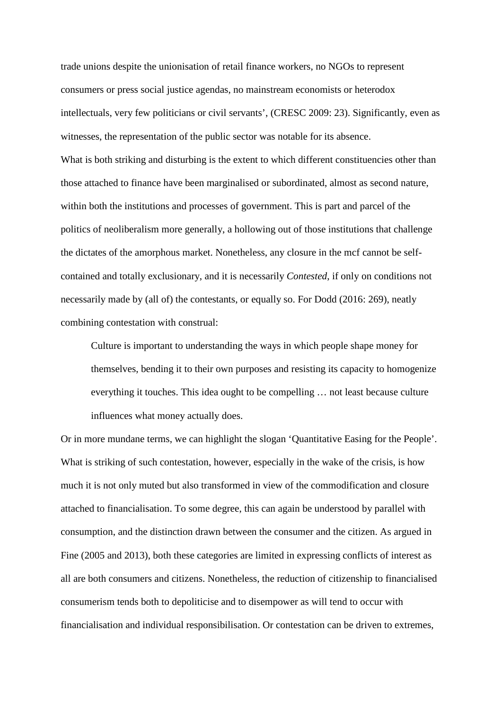trade unions despite the unionisation of retail finance workers, no NGOs to represent consumers or press social justice agendas, no mainstream economists or heterodox intellectuals, very few politicians or civil servants', (CRESC 2009: 23). Significantly, even as witnesses, the representation of the public sector was notable for its absence. What is both striking and disturbing is the extent to which different constituencies other than those attached to finance have been marginalised or subordinated, almost as second nature, within both the institutions and processes of government. This is part and parcel of the politics of neoliberalism more generally, a hollowing out of those institutions that challenge the dictates of the amorphous market. Nonetheless, any closure in the mcf cannot be selfcontained and totally exclusionary, and it is necessarily *Contested*, if only on conditions not necessarily made by (all of) the contestants, or equally so. For Dodd (2016: 269), neatly combining contestation with construal:

Culture is important to understanding the ways in which people shape money for themselves, bending it to their own purposes and resisting its capacity to homogenize everything it touches. This idea ought to be compelling … not least because culture influences what money actually does.

Or in more mundane terms, we can highlight the slogan 'Quantitative Easing for the People'. What is striking of such contestation, however, especially in the wake of the crisis, is how much it is not only muted but also transformed in view of the commodification and closure attached to financialisation. To some degree, this can again be understood by parallel with consumption, and the distinction drawn between the consumer and the citizen. As argued in Fine (2005 and 2013), both these categories are limited in expressing conflicts of interest as all are both consumers and citizens. Nonetheless, the reduction of citizenship to financialised consumerism tends both to depoliticise and to disempower as will tend to occur with financialisation and individual responsibilisation. Or contestation can be driven to extremes,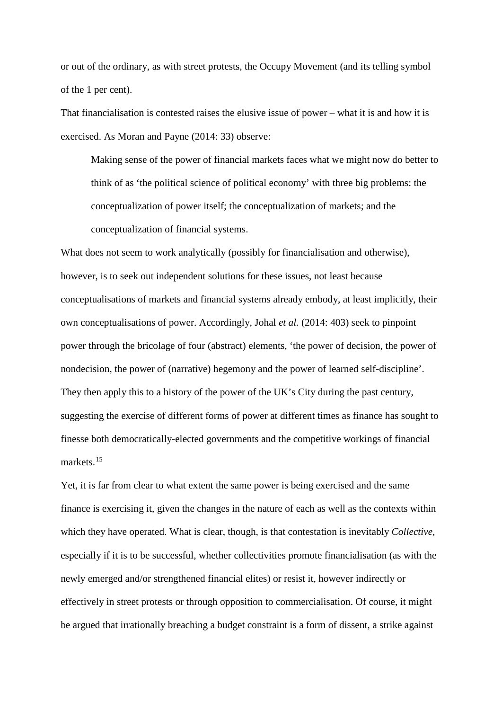or out of the ordinary, as with street protests, the Occupy Movement (and its telling symbol of the 1 per cent).

That financialisation is contested raises the elusive issue of power – what it is and how it is exercised. As Moran and Payne (2014: 33) observe:

Making sense of the power of financial markets faces what we might now do better to think of as 'the political science of political economy' with three big problems: the conceptualization of power itself; the conceptualization of markets; and the conceptualization of financial systems.

What does not seem to work analytically (possibly for financialisation and otherwise), however, is to seek out independent solutions for these issues, not least because conceptualisations of markets and financial systems already embody, at least implicitly, their own conceptualisations of power. Accordingly, Johal *et al.* (2014: 403) seek to pinpoint power through the bricolage of four (abstract) elements, 'the power of decision, the power of nondecision, the power of (narrative) hegemony and the power of learned self-discipline'. They then apply this to a history of the power of the UK's City during the past century, suggesting the exercise of different forms of power at different times as finance has sought to finesse both democratically-elected governments and the competitive workings of financial markets<sup>[15](#page-20-5)</sup>

Yet, it is far from clear to what extent the same power is being exercised and the same finance is exercising it, given the changes in the nature of each as well as the contexts within which they have operated. What is clear, though, is that contestation is inevitably *Collective*, especially if it is to be successful, whether collectivities promote financialisation (as with the newly emerged and/or strengthened financial elites) or resist it, however indirectly or effectively in street protests or through opposition to commercialisation. Of course, it might be argued that irrationally breaching a budget constraint is a form of dissent, a strike against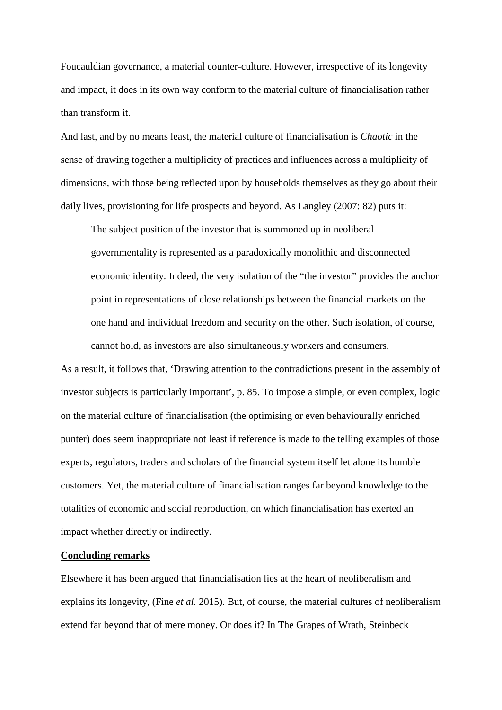Foucauldian governance, a material counter-culture. However, irrespective of its longevity and impact, it does in its own way conform to the material culture of financialisation rather than transform it.

And last, and by no means least, the material culture of financialisation is *Chaotic* in the sense of drawing together a multiplicity of practices and influences across a multiplicity of dimensions, with those being reflected upon by households themselves as they go about their daily lives, provisioning for life prospects and beyond. As Langley (2007: 82) puts it:

The subject position of the investor that is summoned up in neoliberal governmentality is represented as a paradoxically monolithic and disconnected economic identity. Indeed, the very isolation of the "the investor" provides the anchor point in representations of close relationships between the financial markets on the one hand and individual freedom and security on the other. Such isolation, of course, cannot hold, as investors are also simultaneously workers and consumers.

As a result, it follows that, 'Drawing attention to the contradictions present in the assembly of investor subjects is particularly important', p. 85. To impose a simple, or even complex, logic on the material culture of financialisation (the optimising or even behaviourally enriched punter) does seem inappropriate not least if reference is made to the telling examples of those experts, regulators, traders and scholars of the financial system itself let alone its humble customers. Yet, the material culture of financialisation ranges far beyond knowledge to the totalities of economic and social reproduction, on which financialisation has exerted an impact whether directly or indirectly.

### **Concluding remarks**

Elsewhere it has been argued that financialisation lies at the heart of neoliberalism and explains its longevity, (Fine *et al.* 2015). But, of course, the material cultures of neoliberalism extend far beyond that of mere money. Or does it? In The Grapes of Wrath, Steinbeck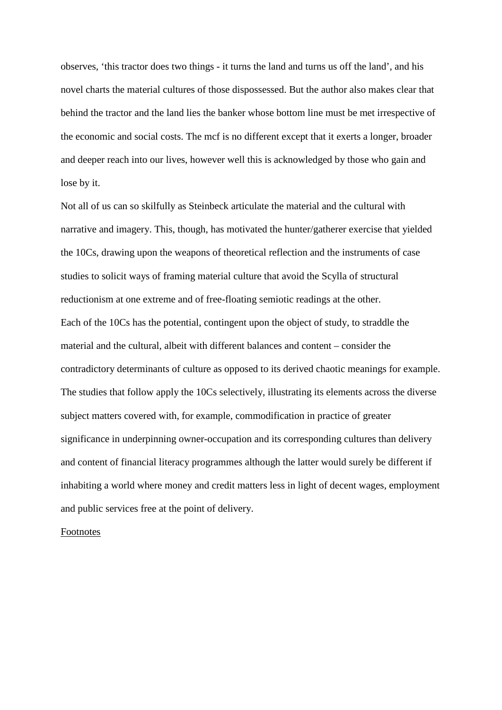observes, 'this tractor does two things - it turns the land and turns us off the land', and his novel charts the material cultures of those dispossessed. But the author also makes clear that behind the tractor and the land lies the banker whose bottom line must be met irrespective of the economic and social costs. The mcf is no different except that it exerts a longer, broader and deeper reach into our lives, however well this is acknowledged by those who gain and lose by it.

Not all of us can so skilfully as Steinbeck articulate the material and the cultural with narrative and imagery. This, though, has motivated the hunter/gatherer exercise that yielded the 10Cs, drawing upon the weapons of theoretical reflection and the instruments of case studies to solicit ways of framing material culture that avoid the Scylla of structural reductionism at one extreme and of free-floating semiotic readings at the other. Each of the 10Cs has the potential, contingent upon the object of study, to straddle the material and the cultural, albeit with different balances and content – consider the contradictory determinants of culture as opposed to its derived chaotic meanings for example. The studies that follow apply the 10Cs selectively, illustrating its elements across the diverse subject matters covered with, for example, commodification in practice of greater significance in underpinning owner-occupation and its corresponding cultures than delivery and content of financial literacy programmes although the latter would surely be different if inhabiting a world where money and credit matters less in light of decent wages, employment and public services free at the point of delivery.

### Footnotes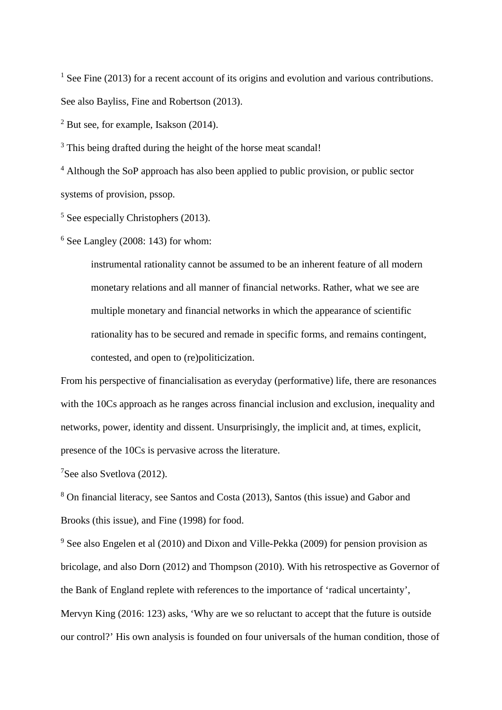<span id="page-19-0"></span><sup>1</sup> See Fine (2013) for a recent account of its origins and evolution and various contributions. See also Bayliss, Fine and Robertson (2013).

<span id="page-19-1"></span><sup>2</sup> But see, for example, Isakson (2014).

<span id="page-19-2"></span><sup>3</sup> This being drafted during the height of the horse meat scandal!

<span id="page-19-3"></span><sup>4</sup> Although the SoP approach has also been applied to public provision, or public sector systems of provision, pssop.

<span id="page-19-4"></span><sup>5</sup> See especially Christophers (2013).

<span id="page-19-5"></span> $6$  See Langley (2008: 143) for whom:

instrumental rationality cannot be assumed to be an inherent feature of all modern monetary relations and all manner of financial networks. Rather, what we see are multiple monetary and financial networks in which the appearance of scientific rationality has to be secured and remade in specific forms, and remains contingent, contested, and open to (re)politicization.

From his perspective of financialisation as everyday (performative) life, there are resonances with the 10Cs approach as he ranges across financial inclusion and exclusion, inequality and networks, power, identity and dissent. Unsurprisingly, the implicit and, at times, explicit, presence of the 10Cs is pervasive across the literature.

<span id="page-19-6"></span>7 See also Svetlova (2012).

<span id="page-19-7"></span><sup>8</sup> On financial literacy, see Santos and Costa (2013), Santos (this issue) and Gabor and Brooks (this issue), and Fine (1998) for food.

<span id="page-19-8"></span><sup>9</sup> See also Engelen et al (2010) and Dixon and Ville-Pekka (2009) for pension provision as bricolage, and also Dorn (2012) and Thompson (2010). With his retrospective as Governor of the Bank of England replete with references to the importance of 'radical uncertainty', Mervyn King (2016: 123) asks, 'Why are we so reluctant to accept that the future is outside our control?' His own analysis is founded on four universals of the human condition, those of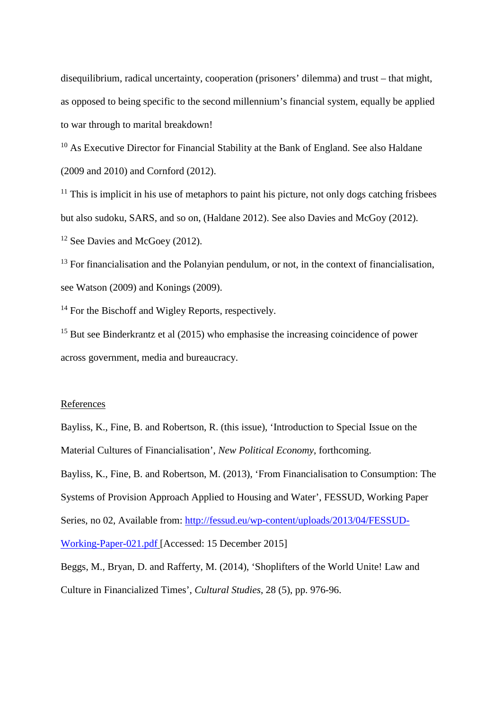disequilibrium, radical uncertainty, cooperation (prisoners' dilemma) and trust – that might, as opposed to being specific to the second millennium's financial system, equally be applied to war through to marital breakdown!

<span id="page-20-0"></span><sup>10</sup> As Executive Director for Financial Stability at the Bank of England. See also Haldane (2009 and 2010) and Cornford (2012).

<span id="page-20-1"></span> $11$  This is implicit in his use of metaphors to paint his picture, not only dogs catching frisbees but also sudoku, SARS, and so on, (Haldane 2012). See also Davies and McGoy (2012).

<span id="page-20-2"></span> $12$  See Davies and McGoey (2012).

<span id="page-20-3"></span> $13$  For financialisation and the Polanyian pendulum, or not, in the context of financialisation, see Watson (2009) and Konings (2009).

<span id="page-20-4"></span><sup>14</sup> For the Bischoff and Wigley Reports, respectively.

<span id="page-20-5"></span><sup>15</sup> But see Binderkrantz et al (2015) who emphasise the increasing coincidence of power across government, media and bureaucracy.

# References

Bayliss, K., Fine, B. and Robertson, R. (this issue), 'Introduction to Special Issue on the Material Cultures of Financialisation', *New Political Economy*, forthcoming. Bayliss, K., Fine, B. and Robertson, M. (2013), 'From Financialisation to Consumption: The Systems of Provision Approach Applied to Housing and Water', FESSUD, Working Paper Series, no 02, Available from: [http://fessud.eu/wp-content/uploads/2013/04/FESSUD-](http://fessud.eu/wp-content/uploads/2013/04/FESSUD-Working-Paper-021.pdf)[Working-Paper-021.pdf](http://fessud.eu/wp-content/uploads/2013/04/FESSUD-Working-Paper-021.pdf) [Accessed: 15 December 2015]

Beggs, M., Bryan, D. and Rafferty, M. (2014), 'Shoplifters of the World Unite! Law and Culture in Financialized Times', *Cultural Studies*, 28 (5), pp. 976-96.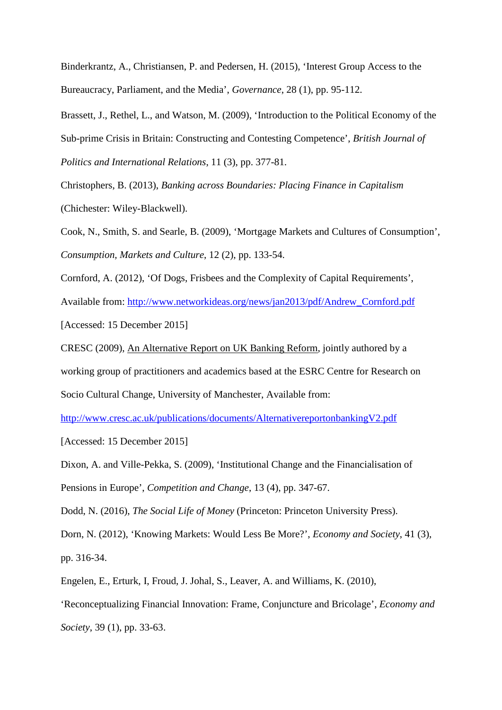Binderkrantz, A., Christiansen, P. and Pedersen, H. (2015), 'Interest Group Access to the Bureaucracy, Parliament, and the Media', *Governance*, 28 (1), pp. 95-112.

Brassett, J., Rethel, L., and Watson, M. (2009), 'Introduction to the Political Economy of the Sub-prime Crisis in Britain: Constructing and Contesting Competence', *British Journal of Politics and International Relations*, 11 (3), pp. 377-81.

Christophers, B. (2013), *Banking across Boundaries: Placing Finance in Capitalism* (Chichester: Wiley-Blackwell).

Cook, N., Smith, S. and Searle, B. (2009), 'Mortgage Markets and Cultures of Consumption', *Consumption, Markets and Culture*, 12 (2), pp. 133-54.

Cornford, A. (2012), 'Of Dogs, Frisbees and the Complexity of Capital Requirements',

Available from: [http://www.networkideas.org/news/jan2013/pdf/Andrew\\_Cornford.pdf](http://www.networkideas.org/news/jan2013/pdf/Andrew_Cornford.pdf)

[Accessed: 15 December 2015]

CRESC (2009), An Alternative Report on UK Banking Reform, jointly authored by a working group of practitioners and academics based at the ESRC Centre for Research on Socio Cultural Change, University of Manchester, Available from:

<http://www.cresc.ac.uk/publications/documents/AlternativereportonbankingV2.pdf>

[Accessed: 15 December 2015]

Dixon, A. and Ville-Pekka, S. (2009), 'Institutional Change and the Financialisation of Pensions in Europe', *Competition and Change*, 13 (4), pp. 347-67.

Dodd, N. (2016), *The Social Life of Money* (Princeton: Princeton University Press).

Dorn, N. (2012), 'Knowing Markets: Would Less Be More?', *Economy and Society*, 41 (3), pp. 316-34.

Engelen, E., Erturk, I, Froud, J. Johal, S., Leaver, A. and Williams, K. (2010),

'Reconceptualizing Financial Innovation: Frame, Conjuncture and Bricolage', *Economy and Society*, 39 (1), pp. 33-63.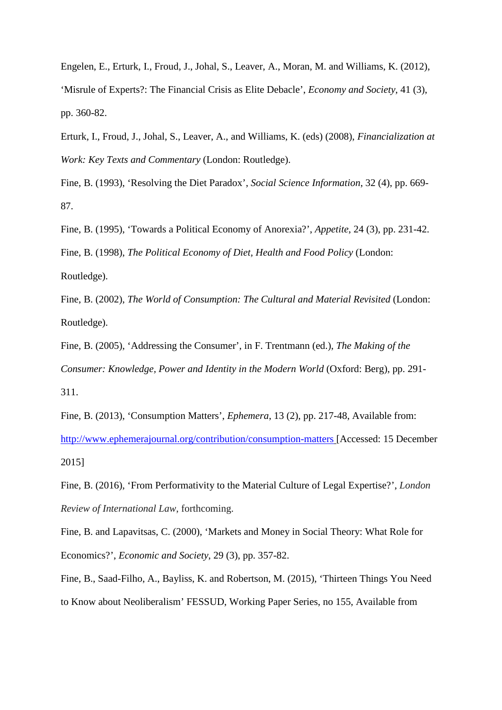Engelen, E., Erturk, I., Froud, J., Johal, S., Leaver, A., Moran, M. and Williams, K. (2012), 'Misrule of Experts?: The Financial Crisis as Elite Debacle', *Economy and Society*, 41 (3), pp. 360-82.

Erturk, I., Froud, J., Johal, S., Leaver, A., and Williams, K. (eds) (2008), *Financialization at Work: Key Texts and Commentary* (London: Routledge).

Fine, B. (1993), 'Resolving the Diet Paradox', *Social Science Information*, 32 (4), pp. 669- 87.

Fine, B. (1995), 'Towards a Political Economy of Anorexia?', *Appetite*, 24 (3), pp. 231-42. Fine, B. (1998), *The Political Economy of Diet, Health and Food Policy* (London: Routledge).

Fine, B. (2002), *The World of Consumption: The Cultural and Material Revisited* (London: Routledge).

Fine, B. (2005), 'Addressing the Consumer', in F. Trentmann (ed.), *The Making of the Consumer: Knowledge, Power and Identity in the Modern World* (Oxford: Berg), pp. 291- 311.

Fine, B. (2013), 'Consumption Matters', *Ephemera*, 13 (2), pp. 217-48, Available from: <http://www.ephemerajournal.org/contribution/consumption-matters> [Accessed: 15 December 2015]

Fine, B. (2016), 'From Performativity to the Material Culture of Legal Expertise?', *London Review of International Law*, forthcoming.

Fine, B. and Lapavitsas, C. (2000), 'Markets and Money in Social Theory: What Role for Economics?', *Economic and Society*, 29 (3), pp. 357-82.

Fine, B., Saad-Filho, A., Bayliss, K. and Robertson, M. (2015), 'Thirteen Things You Need to Know about Neoliberalism' FESSUD, Working Paper Series, no 155, Available from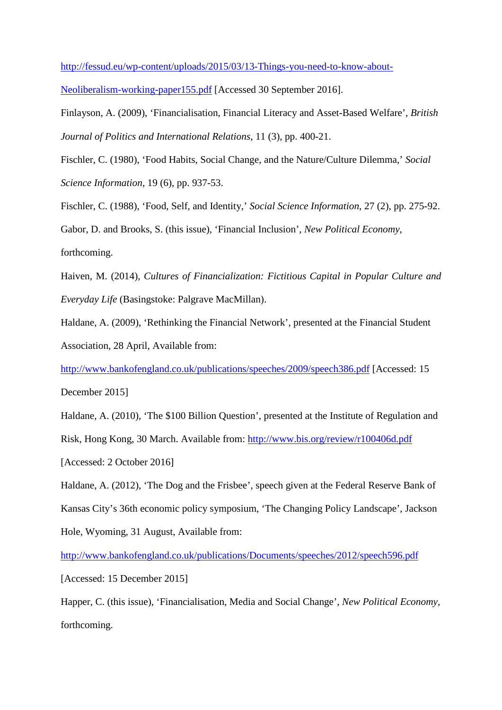[http://fessud.eu/wp-content/uploads/2015/03/13-Things-you-need-to-know-about-](http://fessud.eu/wp-content/uploads/2015/03/13-Things-you-need-to-know-about-Neoliberalism-working-paper155.pdf)

[Neoliberalism-working-paper155.pdf](http://fessud.eu/wp-content/uploads/2015/03/13-Things-you-need-to-know-about-Neoliberalism-working-paper155.pdf) [Accessed 30 September 2016].

Finlayson, A. (2009), 'Financialisation, Financial Literacy and Asset-Based Welfare', *British Journal of Politics and International Relations*, 11 (3), pp. 400-21.

Fischler, C. (1980), 'Food Habits, Social Change, and the Nature/Culture Dilemma,' *Social Science Information*, 19 (6), pp. 937-53.

Fischler, C. (1988), 'Food, Self, and Identity,' *Social Science Information*, 27 (2), pp. 275-92. Gabor, D. and Brooks, S. (this issue), 'Financial Inclusion', *New Political Economy*,

forthcoming.

Haiven, M. (2014), *Cultures of Financialization: Fictitious Capital in Popular Culture and Everyday Life* (Basingstoke: Palgrave MacMillan).

Haldane, A. (2009), 'Rethinking the Financial Network', presented at the Financial Student Association, 28 April, Available from:

<http://www.bankofengland.co.uk/publications/speeches/2009/speech386.pdf> [Accessed: 15

December 2015]

Haldane, A. (2010), 'The \$100 Billion Question', presented at the Institute of Regulation and

Risk, Hong Kong, 30 March. Available from: <http://www.bis.org/review/r100406d.pdf>

[Accessed: 2 October 2016]

Haldane, A. (2012), 'The Dog and the Frisbee', speech given at the Federal Reserve Bank of Kansas City's 36th economic policy symposium, 'The Changing Policy Landscape', Jackson Hole, Wyoming, 31 August, Available from:

<http://www.bankofengland.co.uk/publications/Documents/speeches/2012/speech596.pdf>

[Accessed: 15 December 2015]

Happer, C. (this issue), 'Financialisation, Media and Social Change', *New Political Economy*, forthcoming.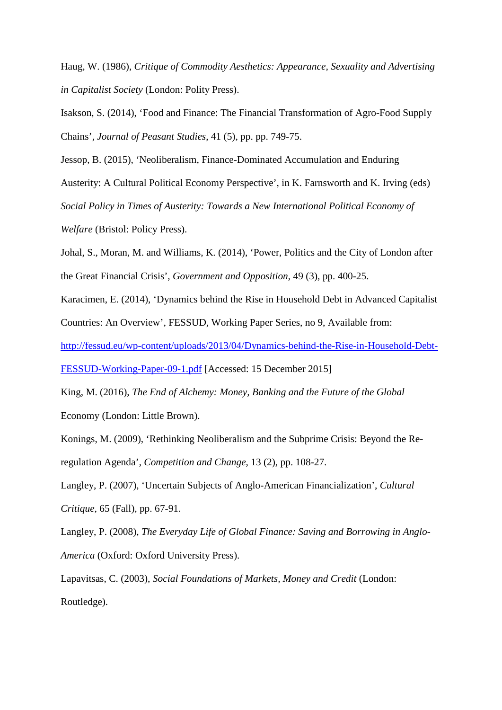Haug, W. (1986), *Critique of Commodity Aesthetics: Appearance, Sexuality and Advertising in Capitalist Society* (London: Polity Press).

Isakson, S. (2014), 'Food and Finance: The Financial Transformation of Agro-Food Supply Chains', *Journal of Peasant Studies*, 41 (5), pp. pp. 749-75.

Jessop, B. (2015), 'Neoliberalism, Finance-Dominated Accumulation and Enduring Austerity: A Cultural Political Economy Perspective', in K. Farnsworth and K. Irving (eds) *Social Policy in Times of Austerity: Towards a New International Political Economy of Welfare* (Bristol: Policy Press).

Johal, S., Moran, M. and Williams, K. (2014), 'Power, Politics and the City of London after the Great Financial Crisis', *Government and Opposition*, 49 (3), pp. 400-25.

Karacimen, E. (2014), 'Dynamics behind the Rise in Household Debt in Advanced Capitalist

Countries: An Overview', FESSUD, Working Paper Series, no 9, Available from:

[http://fessud.eu/wp-content/uploads/2013/04/Dynamics-behind-the-Rise-in-Household-Debt-](http://fessud.eu/wp-content/uploads/2013/04/Dynamics-behind-the-Rise-in-Household-Debt-FESSUD-Working-Paper-09-1.pdf)

[FESSUD-Working-Paper-09-1.pdf](http://fessud.eu/wp-content/uploads/2013/04/Dynamics-behind-the-Rise-in-Household-Debt-FESSUD-Working-Paper-09-1.pdf) [Accessed: 15 December 2015]

King, M. (2016), *The End of Alchemy: Money, Banking and the Future of the Global*  Economy (London: Little Brown).

Konings, M. (2009), 'Rethinking Neoliberalism and the Subprime Crisis: Beyond the Reregulation Agenda', *Competition and Change*, 13 (2), pp. 108-27.

Langley, P. (2007), 'Uncertain Subjects of Anglo-American Financialization', *Cultural Critique*, 65 (Fall), pp. 67-91.

Langley, P. (2008), *The Everyday Life of Global Finance: Saving and Borrowing in Anglo-America* (Oxford: Oxford University Press).

Lapavitsas, C. (2003), *Social Foundations of Markets, Money and Credit* (London: Routledge).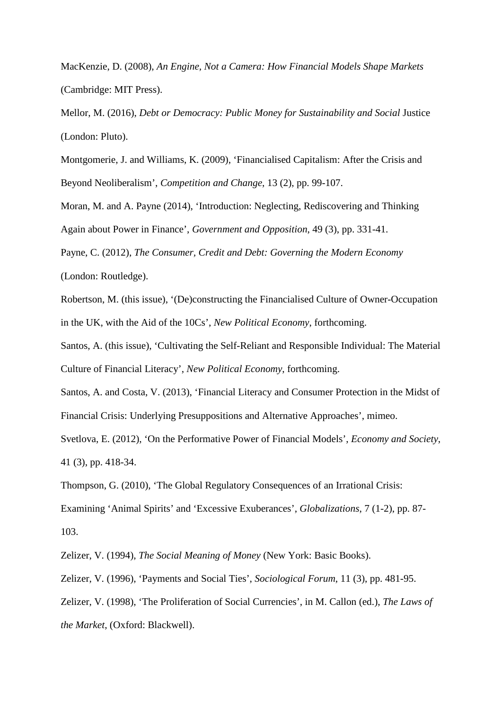MacKenzie, D. (2008), *An Engine, Not a Camera: How Financial Models Shape Markets* (Cambridge: MIT Press).

Mellor, M. (2016), *Debt or Democracy: Public Money for Sustainability and Social* Justice (London: Pluto).

Montgomerie, J. and Williams, K. (2009), 'Financialised Capitalism: After the Crisis and Beyond Neoliberalism', *Competition and Change*, 13 (2), pp. 99-107.

Moran, M. and A. Payne (2014), 'Introduction: Neglecting, [Rediscovering](http://journals.cambridge.org.ezproxy.soas.ac.uk/action/displayAbstract?fromPage=online&aid=9268503&fulltextType=RA&fileId=S0017257X14000013) and Thinking Again about Power in [Finance'](http://journals.cambridge.org.ezproxy.soas.ac.uk/action/displayAbstract?fromPage=online&aid=9268503&fulltextType=RA&fileId=S0017257X14000013), *Government and Opposition*, 49 (3), pp. 331-41.

Payne, C. (2012), *The Consumer, Credit and Debt: Governing the Modern Economy* (London: Routledge).

Robertson, M. (this issue), '(De)constructing the Financialised Culture of Owner-Occupation in the UK, with the Aid of the 10Cs', *New Political Economy*, forthcoming.

Santos, A. (this issue), 'Cultivating the Self-Reliant and Responsible Individual: The Material Culture of Financial Literacy', *New Political Economy*, forthcoming.

Santos, A. and Costa, V. (2013), 'Financial Literacy and Consumer Protection in the Midst of Financial Crisis: Underlying Presuppositions and Alternative Approaches', mimeo.

Svetlova, E. (2012), 'On the Performative Power of Financial Models', *Economy and Society*, 41 (3), pp. 418-34.

Thompson, G. (2010), 'The Global Regulatory Consequences of an Irrational Crisis: Examining 'Animal Spirits' and 'Excessive Exuberances', *Globalizations*, 7 (1-2), pp. 87- 103.

Zelizer, V. (1994), *The Social Meaning of Money* (New York: Basic Books).

Zelizer, V. (1996), 'Payments and Social Ties', *Sociological Forum*, 11 (3), pp. 481-95.

Zelizer, V. (1998), 'The Proliferation of Social Currencies', in M. Callon (ed.), *The Laws of the Market*, (Oxford: Blackwell).